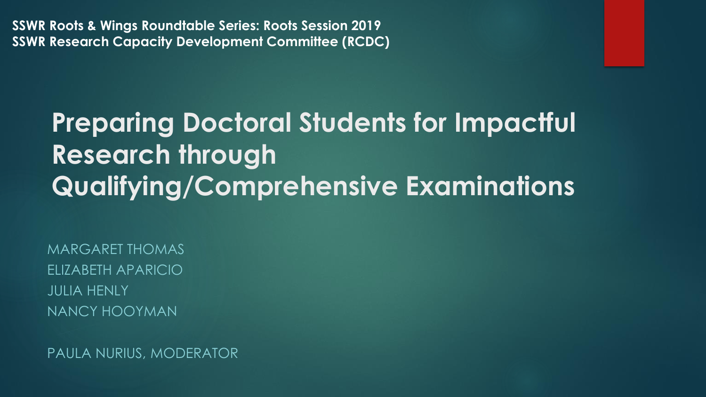**SSWR Roots & Wings Roundtable Series: Roots Session 2019 SSWR Research Capacity Development Committee (RCDC)**

### **Preparing Doctoral Students for Impactful Research through Qualifying/Comprehensive Examinations**

MARGARET THOMAS ELIZABETH APARICIO JULIA HENLY NANCY HOOYMAN

PAULA NURIUS, MODERATOR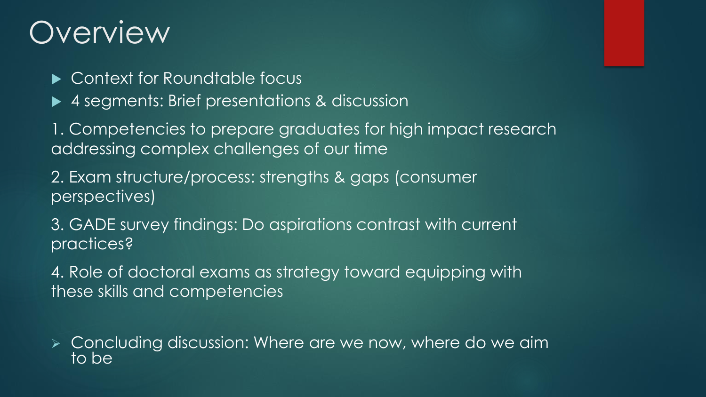### Overview

- ▶ Context for Roundtable focus
- ▶ 4 segments: Brief presentations & discussion

1. Competencies to prepare graduates for high impact research addressing complex challenges of our time

2. Exam structure/process: strengths & gaps (consumer perspectives)

3. GADE survey findings: Do aspirations contrast with current practices?

4. Role of doctoral exams as strategy toward equipping with these skills and competencies

 Concluding discussion: Where are we now, where do we aim to be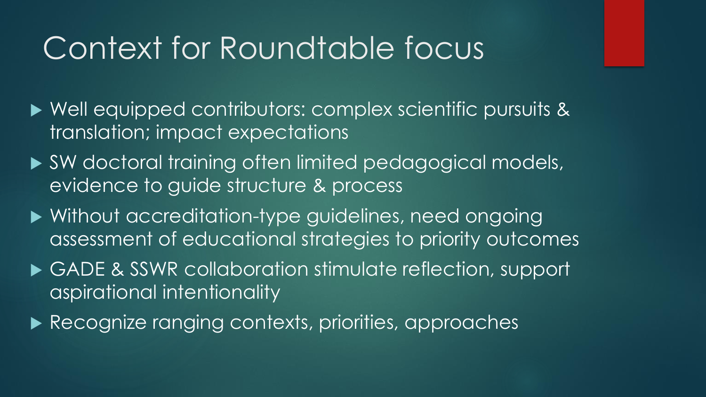### Context for Roundtable focus

- Well equipped contributors: complex scientific pursuits & translation; impact expectations
- SW doctoral training often limited pedagogical models, evidence to guide structure & process
- Without accreditation-type guidelines, need ongoing assessment of educational strategies to priority outcomes
- ▶ GADE & SSWR collaboration stimulate reflection, support aspirational intentionality
- Recognize ranging contexts, priorities, approaches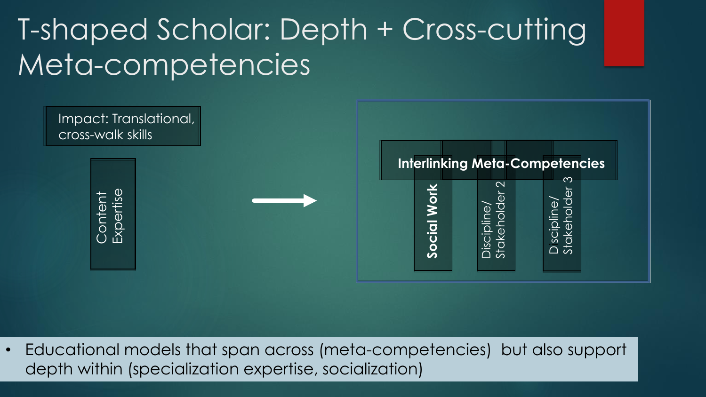### T-shaped Scholar: Depth + Cross-cutting Meta-competencies



• Educational models that span across (meta-competencies) but also support depth within (specialization expertise, socialization)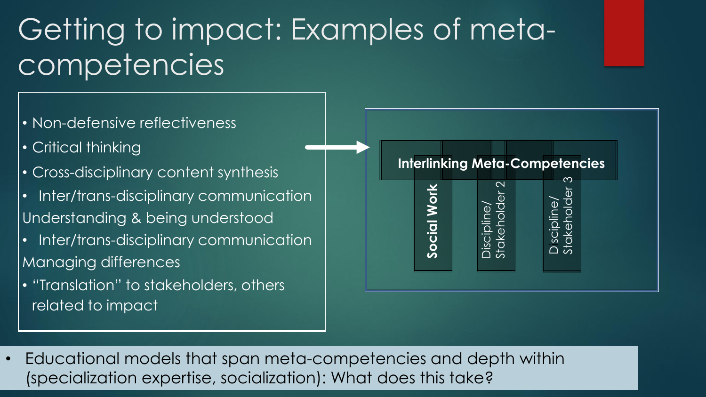### Getting to impact: Examples of metacompetencies

- Non-defensive reflectiveness
- Critical thinking
- Cross-disciplinary content synthesis
- Inter/trans-disciplinary communication Understanding & being understood
- Inter/trans-disciplinary communication Managing differences
- "Translation" to stakeholders, others related to impact



• Educational models that span meta-competencies and depth within (specialization expertise, socialization): What does this take?<br>
Socialization inter/frams-disciplinary communication<br>
Managing differences<br>
expertise, of the social Working Computer of the social Working<br>
Properties that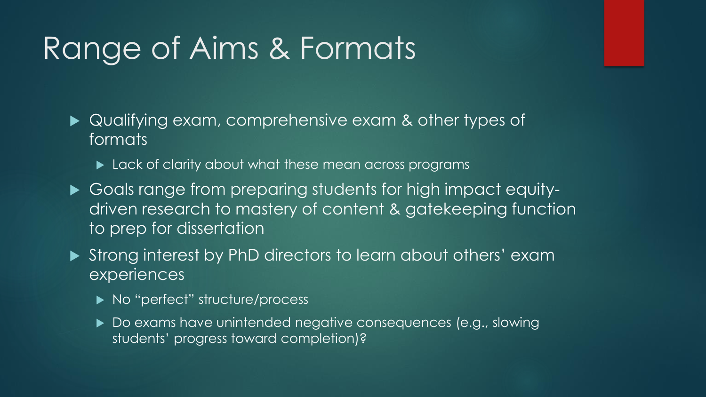### Range of Aims & Formats

- Qualifying exam, comprehensive exam & other types of formats
	- **Lack of clarity about what these mean across programs**
- Goals range from preparing students for high impact equitydriven research to mastery of content & gatekeeping function to prep for dissertation
- Strong interest by PhD directors to learn about others' exam experiences
	- ▶ No "perfect" structure/process
	- ▶ Do exams have unintended negative consequences (e.g., slowing students' progress toward completion)?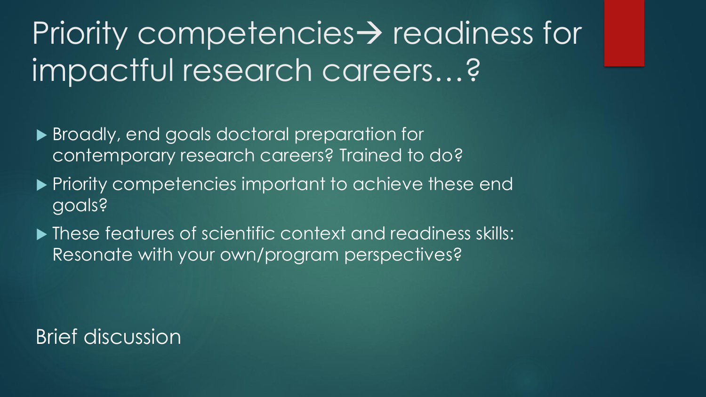# Priority competencies  $\rightarrow$  readiness for impactful research careers…?

- ▶ Broadly, end goals doctoral preparation for contemporary research careers? Trained to do?
- **Priority competencies important to achieve these end** goals?
- $\blacktriangleright$  These features of scientific context and readiness skills: Resonate with your own/program perspectives?

#### Brief discussion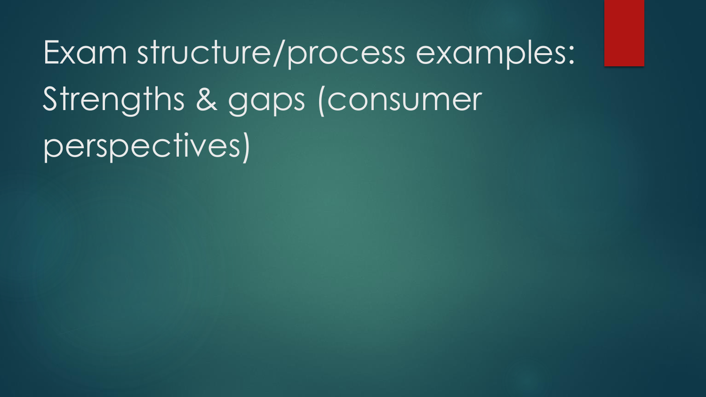Exam structure/process examples: Strengths & gaps (consumer perspectives)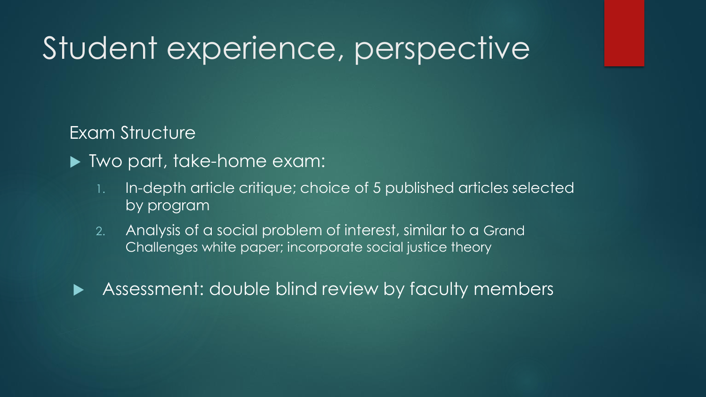#### Exam Structure

- ▶ Two part, take-home exam:
	- 1. In-depth article critique; choice of 5 published articles selected by program
	- 2. Analysis of a social problem of interest, similar to a Grand Challenges white paper; incorporate social justice theory



Assessment: double blind review by faculty members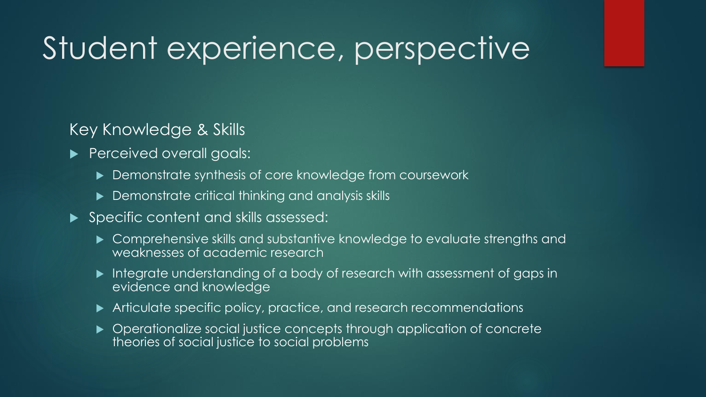#### Key Knowledge & Skills

- Perceived overall goals:
	- Demonstrate synthesis of core knowledge from coursework
	- ▶ Demonstrate critical thinking and analysis skills
- ▶ Specific content and skills assessed:
	- ▶ Comprehensive skills and substantive knowledge to evaluate strengths and weaknesses of academic research
	- Integrate understanding of a body of research with assessment of gaps in evidence and knowledge
	- ▶ Articulate specific policy, practice, and research recommendations
	- ▶ Operationalize social justice concepts through application of concrete theories of social justice to social problems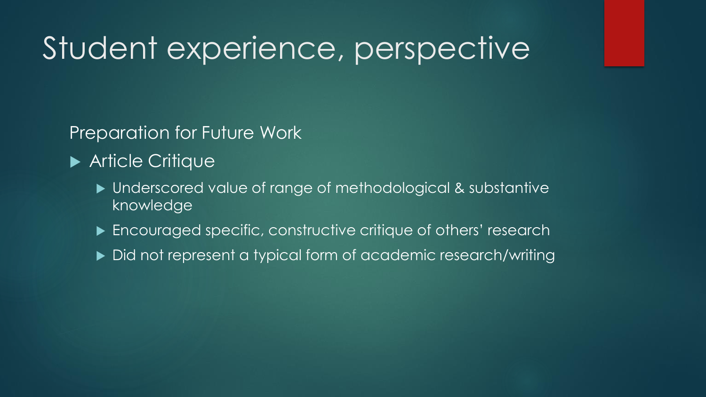Preparation for Future Work

- **Article Critique** 
	- ▶ Underscored value of range of methodological & substantive knowledge
	- ▶ Encouraged specific, constructive critique of others' research
	- ▶ Did not represent a typical form of academic research/writing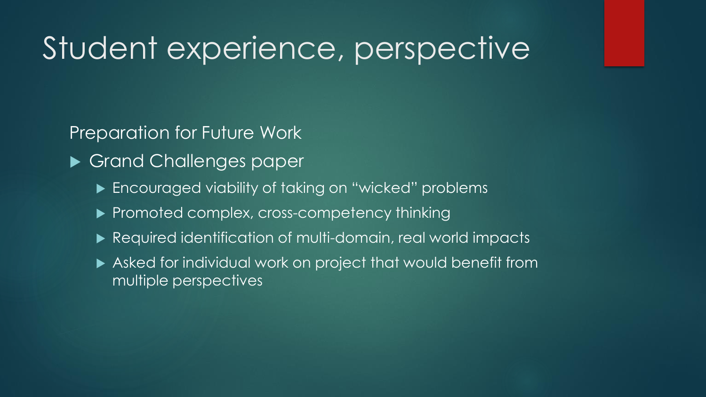Preparation for Future Work

- Grand Challenges paper
	- ▶ Encouraged viability of taking on "wicked" problems
	- Promoted complex, cross-competency thinking
	- ▶ Required identification of multi-domain, real world impacts
	- Asked for individual work on project that would benefit from multiple perspectives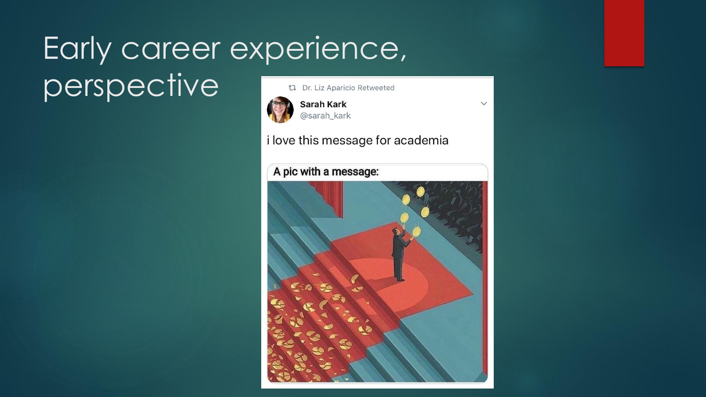### Early career experience, perspectivet1 Dr. Liz Aparicio Retweeted



**Sarah Kark** @sarah\_kark

i love this message for academia

 $\checkmark$ 

A pic with a message:

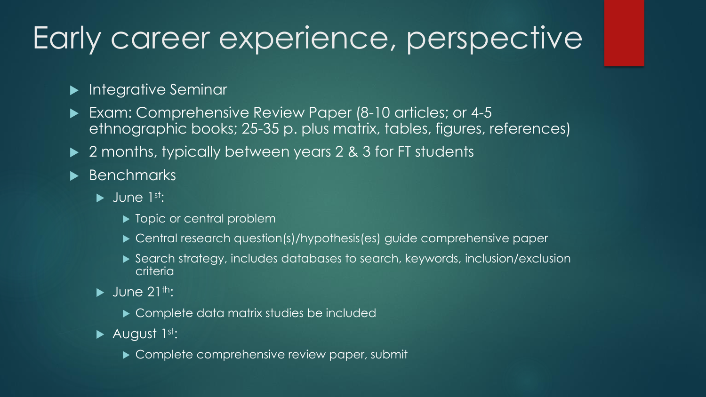### Early career experience, perspective

#### **Integrative Seminar**

- Exam: Comprehensive Review Paper (8-10 articles; or 4-5 ethnographic books; 25-35 p. plus matrix, tables, figures, references)
- ▶ 2 months, typically between years 2 & 3 for FT students
- **Benchmarks** 
	- $\blacktriangleright$  June 1st:
		- ▶ Topic or central problem
		- ▶ Central research question(s)/hypothesis(es) guide comprehensive paper
		- Search strategy, includes databases to search, keywords, inclusion/exclusion criteria
	- $\blacktriangleright$  June 21<sup>th</sup>:
		- ▶ Complete data matrix studies be included
	- $\blacktriangleright$  August 1st:
		- Complete comprehensive review paper, submit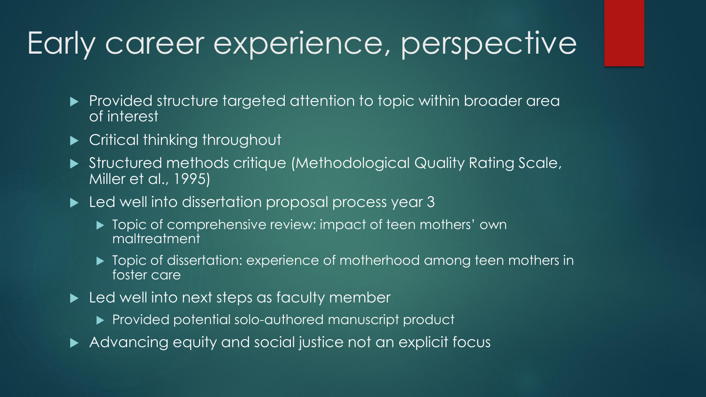### Early career experience, perspective

- **Provided structure targeted attention to topic within broader area** of interest
- ▶ Critical thinking throughout
- Structured methods critique (Methodological Quality Rating Scale, Miller et al., 1995)
- **Led well into dissertation proposal process year 3** 
	- ▶ Topic of comprehensive review: impact of teen mothers' own maltreatment
	- $\blacktriangleright$  Topic of dissertation: experience of motherhood among teen mothers in foster care
- ► Led well into next steps as faculty member
	- ▶ Provided potential solo-authored manuscript product
- Advancing equity and social justice not an explicit focus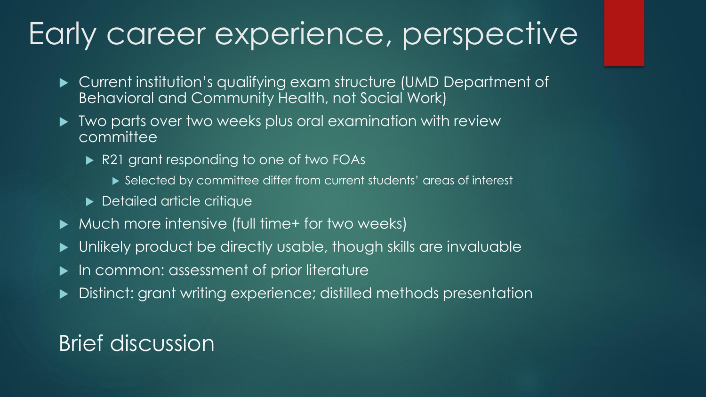### Early career experience, perspective

- Current institution's qualifying exam structure (UMD Department of Behavioral and Community Health, not Social Work)
- $\blacktriangleright$  Two parts over two weeks plus oral examination with review **committee** 
	- R21 grant responding to one of two FOAs
		- ▶ Selected by committee differ from current students' areas of interest
	- **Detailed article critique**
- ▶ Much more intensive (full time+ for two weeks)
- Unlikely product be directly usable, though skills are invaluable
- In common: assessment of prior literature
- Distinct: grant writing experience; distilled methods presentation

### Brief discussion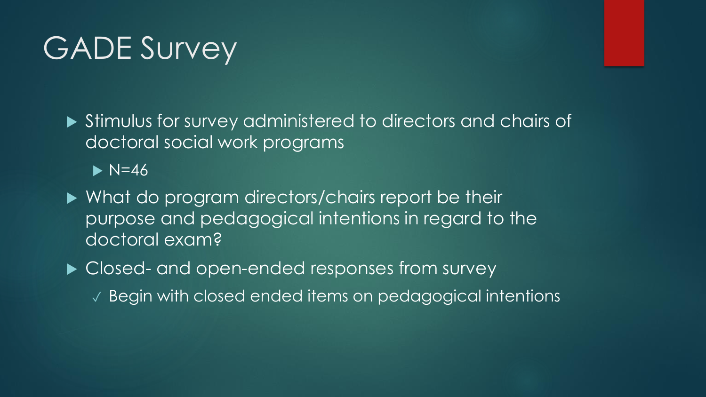### GADE Survey

 Stimulus for survey administered to directors and chairs of doctoral social work programs

 $\blacktriangleright$  N=46

▶ What do program directors/chairs report be their purpose and pedagogical intentions in regard to the doctoral exam?

 $\blacktriangleright$  Closed- and open-ended responses from survey

✓ Begin with closed ended items on pedagogical intentions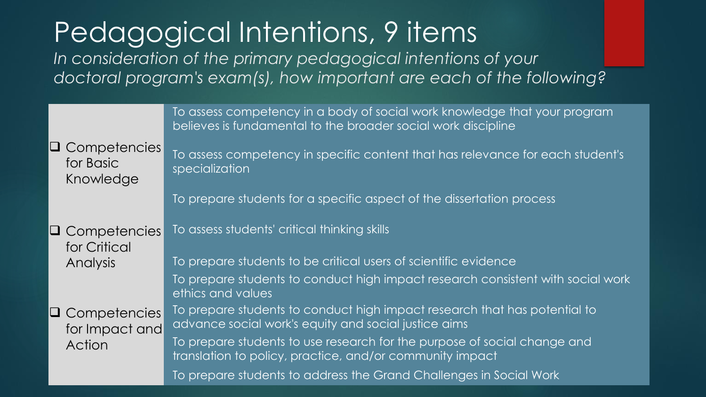Pedagogical Intentions, 9 items *In consideration of the primary pedagogical intentions of your doctoral program's exam(s), how important are each of the following?* 

|                                                 | To assess competency in a body of social work knowledge that your program<br>believes is fundamental to the broader social work discipline |
|-------------------------------------------------|--------------------------------------------------------------------------------------------------------------------------------------------|
| $\Box$ Competencies<br>for Basic<br>Knowledge   | To assess competency in specific content that has relevance for each student's<br>specialization                                           |
|                                                 | To prepare students for a specific aspect of the dissertation process                                                                      |
| $\Box$ Competencies<br>for Critical             | To assess students' critical thinking skills                                                                                               |
| <b>Analysis</b>                                 | To prepare students to be critical users of scientific evidence                                                                            |
|                                                 | To prepare students to conduct high impact research consistent with social work<br>ethics and values                                       |
| $\Box$ Competencies<br>for Impact and<br>Action | To prepare students to conduct high impact research that has potential to<br>advance social work's equity and social justice aims          |
|                                                 | To prepare students to use research for the purpose of social change and<br>translation to policy, practice, and/or community impact       |
|                                                 | To prepare students to address the Grand Challenges in Social Work                                                                         |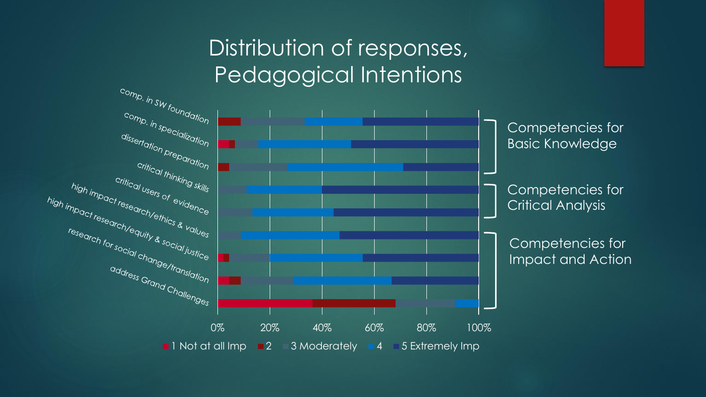# Distribution of responses,

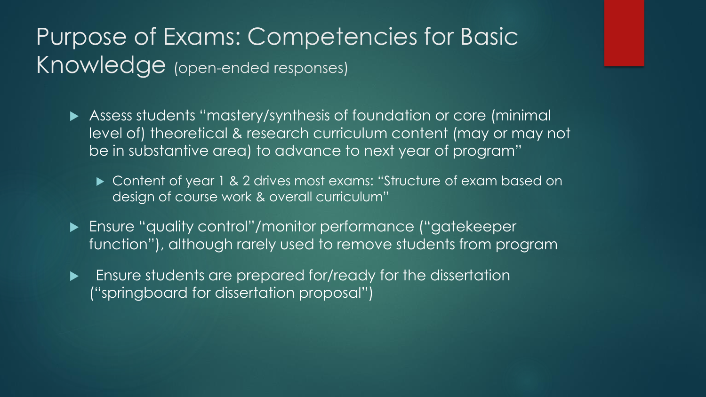### Purpose of Exams: Competencies for Basic Knowledge (open-ended responses)

- Assess students "mastery/synthesis of foundation or core (minimal level of) theoretical & research curriculum content (may or may not be in substantive area) to advance to next year of program"
	- ▶ Content of year 1 & 2 drives most exams: "Structure of exam based on design of course work & overall curriculum"
- Ensure "quality control"/monitor performance ("gatekeeper function"), although rarely used to remove students from program
- **Ensure students are prepared for/ready for the dissertation** ("springboard for dissertation proposal")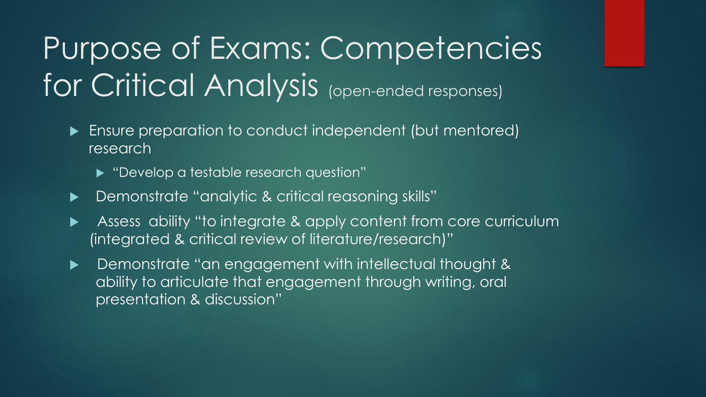# Purpose of Exams: Competencies for Critical Analysis (open-ended responses)

- Ensure preparation to conduct independent (but mentored) research
	- ▶ "Develop a testable research question"
- Demonstrate "analytic & critical reasoning skills"
- Assess ability "to integrate & apply content from core curriculum (integrated & critical review of literature/research)"
- **Demonstrate "an engagement with intellectual thought &** ability to articulate that engagement through writing, oral presentation & discussion"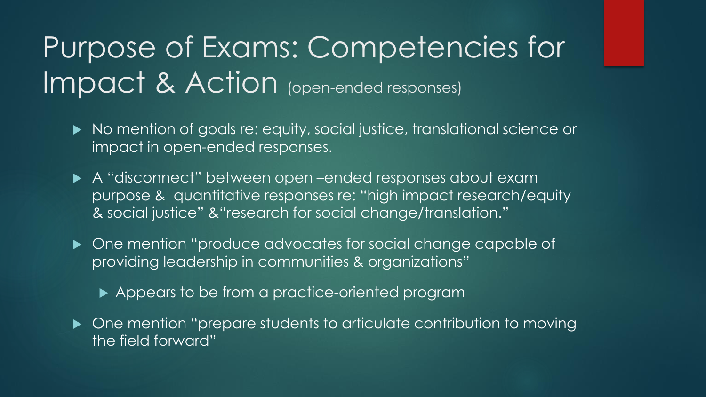### Purpose of Exams: Competencies for Impact & Action (open-ended responses)

- ▶ No mention of goals re: equity, social justice, translational science or impact in open-ended responses.
- A "disconnect" between open –ended responses about exam purpose & quantitative responses re: "high impact research/equity & social justice" &"research for social change/translation."
- ▶ One mention "produce advocates for social change capable of providing leadership in communities & organizations"
	- Appears to be from a practice-oriented program
- ▶ One mention "prepare students to articulate contribution to moving the field forward"